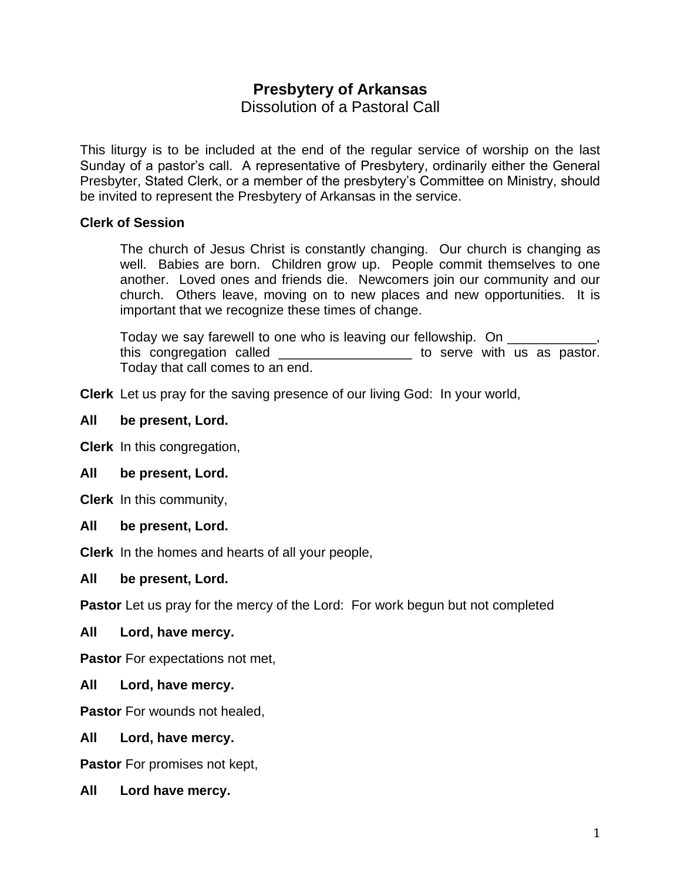# **Presbytery of Arkansas**

Dissolution of a Pastoral Call

This liturgy is to be included at the end of the regular service of worship on the last Sunday of a pastor's call. A representative of Presbytery, ordinarily either the General Presbyter, Stated Clerk, or a member of the presbytery's Committee on Ministry, should be invited to represent the Presbytery of Arkansas in the service.

## **Clerk of Session**

The church of Jesus Christ is constantly changing. Our church is changing as well. Babies are born. Children grow up. People commit themselves to one another. Loved ones and friends die. Newcomers join our community and our church. Others leave, moving on to new places and new opportunities. It is important that we recognize these times of change.

Today we say farewell to one who is leaving our fellowship. On this congregation called \_\_\_\_\_\_\_\_\_\_\_\_\_\_\_\_\_\_ to serve with us as pastor. Today that call comes to an end.

**Clerk** Let us pray for the saving presence of our living God: In your world,

## **All be present, Lord.**

**Clerk** In this congregation,

## **All be present, Lord.**

**Clerk** In this community,

## **All be present, Lord.**

**Clerk** In the homes and hearts of all your people,

## **All be present, Lord.**

**Pastor** Let us pray for the mercy of the Lord: For work begun but not completed

## **All Lord, have mercy.**

**Pastor** For expectations not met,

**All Lord, have mercy.**

**Pastor** For wounds not healed.

## **All Lord, have mercy.**

**Pastor** For promises not kept,

**All Lord have mercy.**